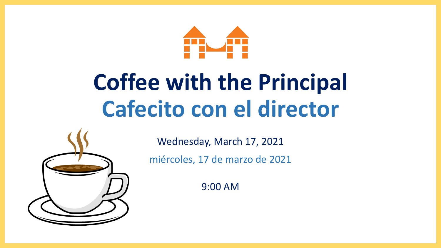

# **Coffee with the Principal Cafecito con el director**



Wednesday, March 17, 2021

miércoles, 17 de marzo de 2021

9:00 AM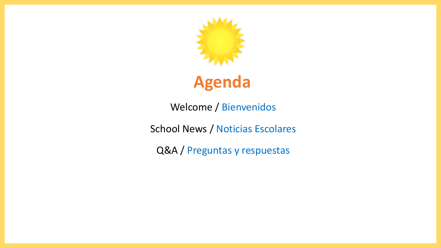

## **Agenda**

Welcome / Bienvenidos

School News / Noticias Escolares

Q&A / Preguntas y respuestas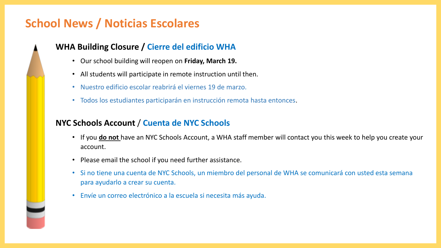## **School News / Noticias Escolares**

#### **WHA Building Closure / Cierre del edificio WHA**

- Our school building will reopen on **Friday, March 19.**
- All students will participate in remote instruction until then.
- Nuestro edificio escolar reabrirá el viernes 19 de marzo.
- Todos los estudiantes participarán en instrucción remota hasta entonces.

#### **NYC Schools Account** / **Cuenta de NYC Schools**

- If you **do not** have an NYC Schools Account, a WHA staff member will contact you this week to help you create your account.
- Please email the school if you need further assistance.
- Si no tiene una cuenta de NYC Schools, un miembro del personal de WHA se comunicará con usted esta semana para ayudarlo a crear su cuenta.
- Envíe un correo electrónico a la escuela si necesita más ayuda.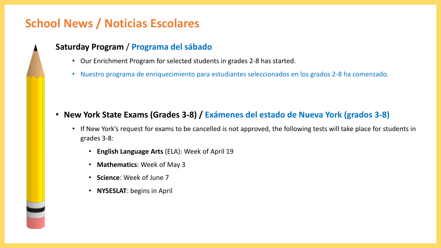### **School News / Noticias Escolares**

#### **Saturday Program** / **Programa del sábado**

- Our Enrichment Program for selected students in grades 2-8 has started.
- Nuestro programa de enriquecimiento para estudiantes seleccionados en los grados 2-8 ha comenzado.

- **New York State Exams (Grades 3-8) / Exámenes del estado de Nueva York (grados 3-8)**
	- If New York's request for exams to be cancelled is not approved, the following tests will take place for students in grades 3-8:
		- **English Language Arts** (ELA): Week of April 19
		- **Mathematics**: Week of May 3
		- **Science**: Week of June 7
		- **NYSESLAT**: begins in April